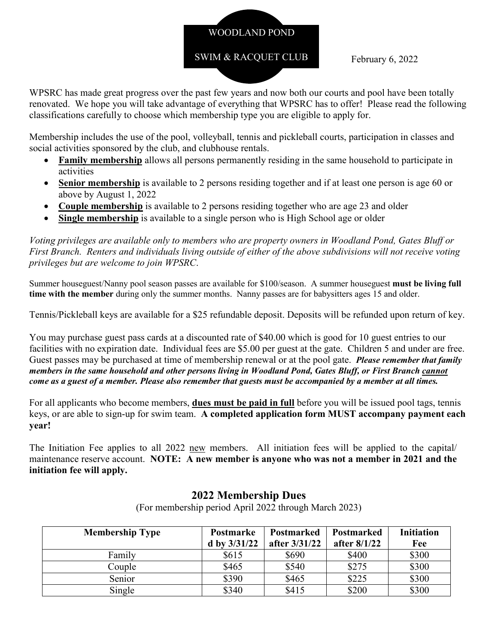# WOODLAND POND

## SWIM & RACQUET CLUB

February 6, 2022

WPSRC has made great progress over the past few years and now both our courts and pool have been totally renovated. We hope you will take advantage of everything that WPSRC has to offer! Please read the following classifications carefully to choose which membership type you are eligible to apply for.

Membership includes the use of the pool, volleyball, tennis and pickleball courts, participation in classes and social activities sponsored by the club, and clubhouse rentals.

- **Family membership** allows all persons permanently residing in the same household to participate in activities
- **Senior membership** is available to 2 persons residing together and if at least one person is age 60 or above by August 1, 2022
- **Couple membership** is available to 2 persons residing together who are age 23 and older
- **Single membership** is available to a single person who is High School age or older

*Voting privileges are available only to members who are property owners in Woodland Pond, Gates Bluff or First Branch. Renters and individuals living outside of either of the above subdivisions will not receive voting privileges but are welcome to join WPSRC*.

Summer houseguest/Nanny pool season passes are available for \$100/season. A summer houseguest **must be living full time with the member** during only the summer months. Nanny passes are for babysitters ages 15 and older.

Tennis/Pickleball keys are available for a \$25 refundable deposit. Deposits will be refunded upon return of key.

You may purchase guest pass cards at a discounted rate of \$40.00 which is good for 10 guest entries to our facilities with no expiration date. Individual fees are \$5.00 per guest at the gate. Children 5 and under are free. Guest passes may be purchased at time of membership renewal or at the pool gate. *Please remember that family members in the same household and other persons living in Woodland Pond, Gates Bluff, or First Branch cannot come as a guest of a member. Please also remember that guests must be accompanied by a member at all times.* 

For all applicants who become members, **dues must be paid in full** before you will be issued pool tags, tennis keys, or are able to sign-up for swim team. **A completed application form MUST accompany payment each year!** 

The Initiation Fee applies to all 2022 new members. All initiation fees will be applied to the capital/ maintenance reserve account. **NOTE: A new member is anyone who was not a member in 2021 and the initiation fee will apply.** 

| <b>Membership Type</b> | <b>Postmarke</b> | <b>Postmarked</b> | <b>Postmarked</b> | <b>Initiation</b> |
|------------------------|------------------|-------------------|-------------------|-------------------|
|                        | d by $3/31/22$   | after 3/31/22     | after 8/1/22      | Fee               |
| Family                 | \$615            | \$690             | \$400             | \$300             |
| Couple                 | \$465            | \$540             | \$275             | \$300             |
| Senior                 | \$390            | \$465             | \$225             | \$300             |
| Single                 | \$340            | \$415             | \$200             | \$300             |

## **2022 Membership Dues**

(For membership period April 2022 through March 2023)